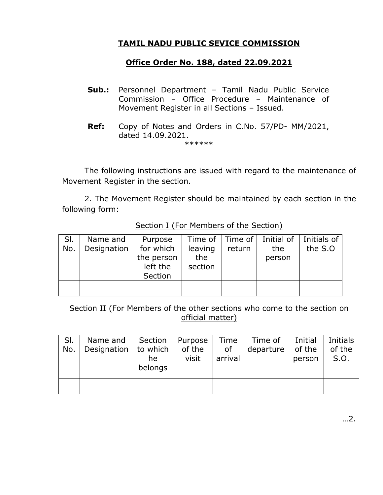## **TAMIL NADU PUBLIC SEVICE COMMISSION**

## **Office Order No. 188, dated 22.09.2021**

- **Sub.:** Personnel Department Tamil Nadu Public Service Commission – Office Procedure – Maintenance of Movement Register in all Sections – Issued.
- **Ref:** Copy of Notes and Orders in C.No. 57/PD- MM/2021, dated 14.09.2021. \*\*\*\*\*\*

The following instructions are issued with regard to the maintenance of Movement Register in the section.

2. The Movement Register should be maintained by each section in the following form:

| SI. | Name and    | Purpose    |         |        | Time of   Time of   Initial of   Initials of |         |
|-----|-------------|------------|---------|--------|----------------------------------------------|---------|
| No. | Designation | for which  | leaving | return | the                                          | the S.O |
|     |             | the person | the     |        | person                                       |         |
|     |             | left the   | section |        |                                              |         |
|     |             | Section    |         |        |                                              |         |
|     |             |            |         |        |                                              |         |
|     |             |            |         |        |                                              |         |

Section I (For Members of the Section)

Section II (For Members of the other sections who come to the section on official matter)

| SI. | Name and $ $ Section $ $             |         | Purpose | Time    | Time of   | Initial | Initials |
|-----|--------------------------------------|---------|---------|---------|-----------|---------|----------|
| No. | Designation $\vert$ to which $\vert$ |         | of the  | 0f      | departure | of the  | of the   |
|     |                                      | he      | visit   | arrival |           | person  | S.O.     |
|     |                                      | belongs |         |         |           |         |          |
|     |                                      |         |         |         |           |         |          |
|     |                                      |         |         |         |           |         |          |
|     |                                      |         |         |         |           |         |          |